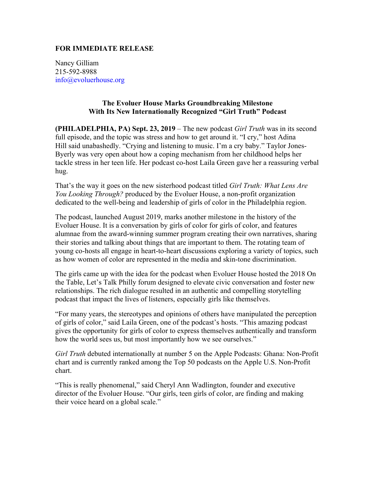## **FOR IMMEDIATE RELEASE**

Nancy Gilliam 215-592-8988 info@evoluerhouse.org

## **The Evoluer House Marks Groundbreaking Milestone With Its New Internationally Recognized "Girl Truth" Podcast**

**(PHILADELPHIA, PA) Sept. 23, 2019** – The new podcast *Girl Truth* was in its second full episode, and the topic was stress and how to get around it. "I cry," host Adina Hill said unabashedly. "Crying and listening to music. I'm a cry baby." Taylor Jones-Byerly was very open about how a coping mechanism from her childhood helps her tackle stress in her teen life. Her podcast co-host Laila Green gave her a reassuring verbal hug.

That's the way it goes on the new sisterhood podcast titled *Girl Truth: What Lens Are You Looking Through?* produced by the Evoluer House, a non-profit organization dedicated to the well-being and leadership of girls of color in the Philadelphia region.

The podcast, launched August 2019, marks another milestone in the history of the Evoluer House. It is a conversation by girls of color for girls of color, and features alumnae from the award-winning summer program creating their own narratives, sharing their stories and talking about things that are important to them. The rotating team of young co-hosts all engage in heart-to-heart discussions exploring a variety of topics, such as how women of color are represented in the media and skin-tone discrimination.

The girls came up with the idea for the podcast when Evoluer House hosted the 2018 On the Table, Let's Talk Philly forum designed to elevate civic conversation and foster new relationships. The rich dialogue resulted in an authentic and compelling storytelling podcast that impact the lives of listeners, especially girls like themselves.

"For many years, the stereotypes and opinions of others have manipulated the perception of girls of color," said Laila Green, one of the podcast's hosts. "This amazing podcast gives the opportunity for girls of color to express themselves authentically and transform how the world sees us, but most importantly how we see ourselves."

*Girl Truth* debuted internationally at number 5 on the Apple Podcasts: Ghana: Non-Profit chart and is currently ranked among the Top 50 podcasts on the Apple U.S. Non-Profit chart.

"This is really phenomenal," said Cheryl Ann Wadlington, founder and executive director of the Evoluer House. "Our girls, teen girls of color, are finding and making their voice heard on a global scale."